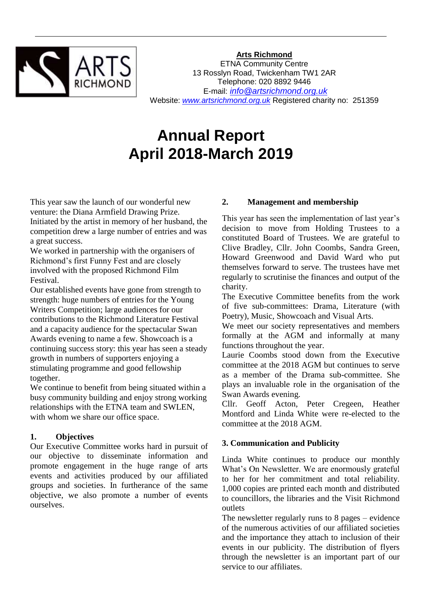

**Arts Richmond**

ETNA Community Centre 13 Rosslyn Road, Twickenham TW1 2AR Telephone: 020 8892 9446 E-mail: *[info@artsrichmond.org.uk](mailto:info@artsrichmond.org.uk)* Website: *[www.artsrichmond.org.uk](http://www.artsrichmond.org.uk/)* Registered charity no: 251359

**Annual Report April 2018-March 2019**

This year saw the launch of our wonderful new venture: the Diana Armfield Drawing Prize. Initiated by the artist in memory of her husband, the competition drew a large number of entries and was a great success.

We worked in partnership with the organisers of Richmond's first Funny Fest and are closely involved with the proposed Richmond Film Festival.

Our established events have gone from strength to strength: huge numbers of entries for the Young Writers Competition; large audiences for our contributions to the Richmond Literature Festival and a capacity audience for the spectacular Swan Awards evening to name a few. Showcoach is a continuing success story: this year has seen a steady growth in numbers of supporters enjoying a stimulating programme and good fellowship together.

We continue to benefit from being situated within a busy community building and enjoy strong working relationships with the ETNA team and SWLEN, with whom we share our office space.

# **1. Objectives**

Our Executive Committee works hard in pursuit of our objective to disseminate information and promote engagement in the huge range of arts events and activities produced by our affiliated groups and societies. In furtherance of the same objective, we also promote a number of events ourselves.

# **2. Management and membership**

This year has seen the implementation of last year's decision to move from Holding Trustees to a constituted Board of Trustees. We are grateful to Clive Bradley, Cllr. John Coombs, Sandra Green, Howard Greenwood and David Ward who put themselves forward to serve. The trustees have met regularly to scrutinise the finances and output of the charity.

The Executive Committee benefits from the work of five sub-committees: Drama, Literature (with Poetry), Music, Showcoach and Visual Arts.

We meet our society representatives and members formally at the AGM and informally at many functions throughout the year.

Laurie Coombs stood down from the Executive committee at the 2018 AGM but continues to serve as a member of the Drama sub-committee. She plays an invaluable role in the organisation of the Swan Awards evening.

Cllr. Geoff Acton, Peter Cregeen, Heather Montford and Linda White were re-elected to the committee at the 2018 AGM.

# **3. Communication and Publicity**

Linda White continues to produce our monthly What's On Newsletter. We are enormously grateful to her for her commitment and total reliability. 1,000 copies are printed each month and distributed to councillors, the libraries and the Visit Richmond outlets

The newsletter regularly runs to 8 pages – evidence of the numerous activities of our affiliated societies and the importance they attach to inclusion of their events in our publicity. The distribution of flyers through the newsletter is an important part of our service to our affiliates.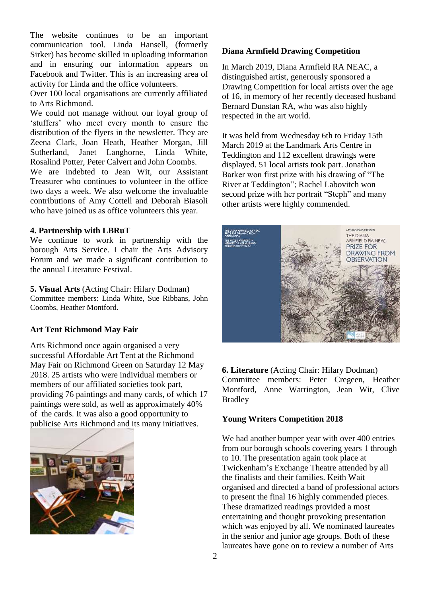The website continues to be an important communication tool. Linda Hansell, (formerly Sirker) has become skilled in uploading information and in ensuring our information appears on Facebook and Twitter. This is an increasing area of activity for Linda and the office volunteers.

Over 100 local organisations are currently affiliated to Arts Richmond.

We could not manage without our loyal group of 'stuffers' who meet every month to ensure the distribution of the flyers in the newsletter. They are Zeena Clark, Joan Heath, Heather Morgan, Jill Sutherland, Janet Langhorne, Linda White, Rosalind Potter, Peter Calvert and John Coombs.

We are indebted to Jean Wit, our Assistant Treasurer who continues to volunteer in the office two days a week. We also welcome the invaluable contributions of Amy Cottell and Deborah Biasoli who have joined us as office volunteers this year.

#### **4. Partnership with LBRuT**

We continue to work in partnership with the borough Arts Service. I chair the Arts Advisory Forum and we made a significant contribution to the annual Literature Festival.

**5. Visual Arts** (Acting Chair: Hilary Dodman) Committee members: Linda White, Sue Ribbans, John Coombs, Heather Montford.

# **Art Tent Richmond May Fair**

Arts Richmond once again organised a very successful Affordable Art Tent at the Richmond May Fair on Richmond Green on Saturday 12 May 2018. 25 artists who were individual members or members of our affiliated societies took part, providing 76 paintings and many cards, of which 17 paintings were sold, as well as approximately 40% of the cards. It was also a good opportunity to publicise Arts Richmond and its many initiatives.



# **Diana Armfield Drawing Competition**

In March 2019, Diana Armfield RA NEAC, a distinguished artist, generously sponsored a Drawing Competition for local artists over the age of 16, in memory of her recently deceased husband Bernard Dunstan RA, who was also highly respected in the art world.

It was held from Wednesday 6th to Friday 15th March 2019 at the Landmark Arts Centre in Teddington and 112 excellent drawings were displayed. 51 local artists took part. Jonathan Barker won first prize with his drawing of "The River at Teddington"; Rachel Labovitch won second prize with her portrait "Steph" and many other artists were highly commended.



#### **6. Literature** (Acting Chair: Hilary Dodman)

Committee members: Peter Cregeen, Heather Montford, Anne Warrington, Jean Wit, Clive Bradley

# **Young Writers Competition 2018**

We had another bumper year with over 400 entries from our borough schools covering years 1 through to 10. The presentation again took place at Twickenham's Exchange Theatre attended by all the finalists and their families. Keith Wait organised and directed a band of professional actors to present the final 16 highly commended pieces. These dramatized readings provided a most entertaining and thought provoking presentation which was enjoyed by all. We nominated laureates in the senior and junior age groups. Both of these laureates have gone on to review a number of Arts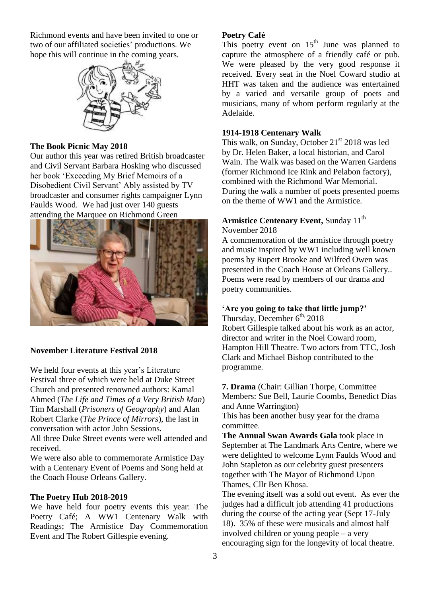Richmond events and have been invited to one or two of our affiliated societies' productions. We hope this will continue in the coming years.



#### **The Book Picnic May 2018**

Our author this year was retired British broadcaster and Civil Servant Barbara Hosking who discussed her book 'Exceeding My Brief Memoirs of a Disobedient Civil Servant' Ably assisted by TV broadcaster and consumer rights campaigner Lynn Faulds Wood. We had just over 140 guests attending the Marquee on Richmond Green



# **November Literature Festival 2018**

We held four events at this year's Literature Festival three of which were held at Duke Street Church and presented renowned authors: Kamal Ahmed (*The Life and Times of a Very British Man*) Tim Marshall (*Prisoners of Geography*) and Alan Robert Clarke (*The Prince of Mirrors*), the last in conversation with actor John Sessions.

All three Duke Street events were well attended and received.

We were also able to commemorate Armistice Day with a Centenary Event of Poems and Song held at the Coach House Orleans Gallery.

#### **The Poetry Hub 2018-2019**

We have held four poetry events this year: The Poetry Café; A WW1 Centenary Walk with Readings; The Armistice Day Commemoration Event and The Robert Gillespie evening.

#### **Poetry Café**

This poetry event on  $15<sup>th</sup>$  June was planned to capture the atmosphere of a friendly café or pub. We were pleased by the very good response it received. Every seat in the Noel Coward studio at HHT was taken and the audience was entertained by a varied and versatile group of poets and musicians, many of whom perform regularly at the Adelaide.

#### **1914-1918 Centenary Walk**

This walk, on Sunday, October  $21<sup>st</sup> 2018$  was led by Dr. Helen Baker, a local historian, and Carol Wain. The Walk was based on the Warren Gardens (former Richmond Ice Rink and Pelabon factory), combined with the Richmond War Memorial. During the walk a number of poets presented poems on the theme of WW1 and the Armistice.

# **Armistice Centenary Event, Sunday 11<sup>th</sup>**

November 2018

A commemoration of the armistice through poetry and music inspired by WW1 including well known poems by Rupert Brooke and Wilfred Owen was presented in the Coach House at Orleans Gallery.. Poems were read by members of our drama and poetry communities.

# **'Are you going to take that little jump?'**

Thursday, December  $6^{th}$ , 2018 Robert Gillespie talked about his work as an actor, director and writer in the Noel Coward room, Hampton Hill Theatre. Two actors from TTC, Josh Clark and Michael Bishop contributed to the programme.

**7. Drama** (Chair: Gillian Thorpe, Committee Members: Sue Bell, Laurie Coombs, Benedict Dias and Anne Warrington)

This has been another busy year for the drama committee.

**The Annual Swan Awards Gala** took place in September at The Landmark Arts Centre, where we were delighted to welcome Lynn Faulds Wood and John Stapleton as our celebrity guest presenters together with The Mayor of Richmond Upon Thames, Cllr Ben Khosa.

The evening itself was a sold out event. As ever the judges had a difficult job attending 41 productions during the course of the acting year (Sept 17-July 18). 35% of these were musicals and almost half involved children or young people – a very encouraging sign for the longevity of local theatre.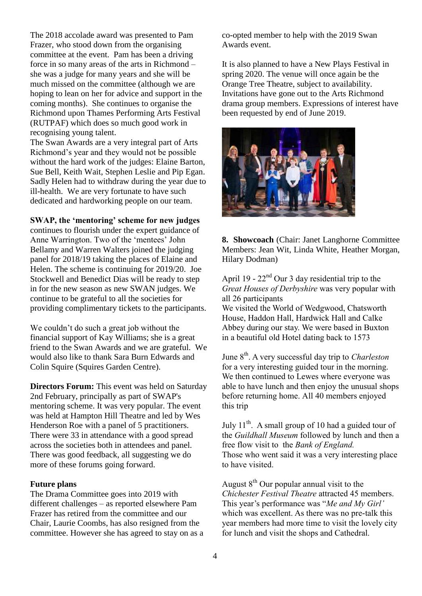The 2018 accolade award was presented to Pam Frazer, who stood down from the organising committee at the event. Pam has been a driving force in so many areas of the arts in Richmond – she was a judge for many years and she will be much missed on the committee (although we are hoping to lean on her for advice and support in the coming months). She continues to organise the Richmond upon Thames Performing Arts Festival (RUTPAF) which does so much good work in recognising young talent.

The Swan Awards are a very integral part of Arts Richmond's year and they would not be possible without the hard work of the judges: Elaine Barton, Sue Bell, Keith Wait, Stephen Leslie and Pip Egan. Sadly Helen had to withdraw during the year due to ill-health. We are very fortunate to have such dedicated and hardworking people on our team.

#### **SWAP, the 'mentoring' scheme for new judges**

continues to flourish under the expert guidance of Anne Warrington. Two of the 'mentees' John Bellamy and Warren Walters joined the judging panel for 2018/19 taking the places of Elaine and Helen. The scheme is continuing for 2019/20. Joe Stockwell and Benedict Dias will be ready to step in for the new season as new SWAN judges. We continue to be grateful to all the societies for providing complimentary tickets to the participants.

We couldn't do such a great job without the financial support of Kay Williams; she is a great friend to the Swan Awards and we are grateful. We would also like to thank Sara Burn Edwards and Colin Squire (Squires Garden Centre).

**Directors Forum:** This event was held on Saturday 2nd February, principally as part of SWAP's mentoring scheme. It was very popular. The event was held at Hampton Hill Theatre and led by Wes Henderson Roe with a panel of 5 practitioners. There were 33 in attendance with a good spread across the societies both in attendees and panel. There was good feedback, all suggesting we do more of these forums going forward.

#### **Future plans**

The Drama Committee goes into 2019 with different challenges – as reported elsewhere Pam Frazer has retired from the committee and our Chair, Laurie Coombs, has also resigned from the committee. However she has agreed to stay on as a co-opted member to help with the 2019 Swan Awards event.

It is also planned to have a New Plays Festival in spring 2020. The venue will once again be the Orange Tree Theatre, subject to availability. Invitations have gone out to the Arts Richmond drama group members. Expressions of interest have been requested by end of June 2019.



**8. Showcoach** (Chair: Janet Langhorne Committee Members: Jean Wit, Linda White, Heather Morgan, Hilary Dodman)

April 19 - 22nd Our 3 day residential trip to the *Great Houses of Derbyshire* was very popular with all 26 participants We visited the World of Wedgwood, Chatsworth House, Haddon Hall, Hardwick Hall and Calke Abbey during our stay. We were based in Buxton in a beautiful old Hotel dating back to 1573

June 8th. A very successful day trip to *Charleston* for a very interesting guided tour in the morning. We then continued to Lewes where everyone was able to have lunch and then enjoy the unusual shops before returning home. All 40 members enjoyed this trip

July  $11^{th}$ . A small group of 10 had a guided tour of the *Guildhall Museum* followed by lunch and then a free flow visit to the *Bank of England.* Those who went said it was a very interesting place to have visited.

August  $8<sup>th</sup>$  Our popular annual visit to the *Chichester Festival Theatre* attracted 45 members. This year's performance was "*Me and My Girl'* which was excellent. As there was no pre-talk this year members had more time to visit the lovely city for lunch and visit the shops and Cathedral.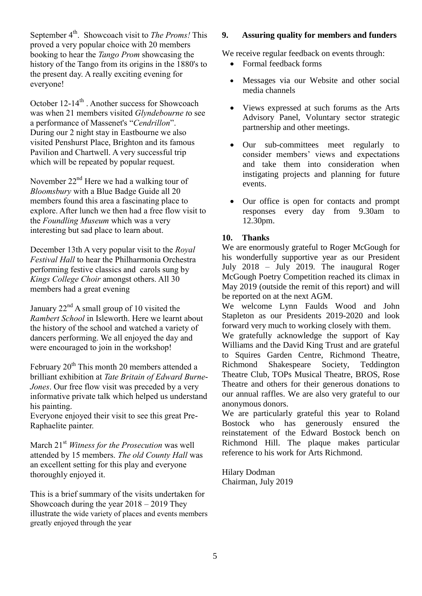September 4<sup>th</sup>. Showcoach visit to *The Proms!* This proved a very popular choice with 20 members booking to hear the *Tango Prom* showcasing the history of the Tango from its origins in the 1880's to the present day. A really exciting evening for everyone!

October 12-14<sup>th</sup> . Another success for Showcoach was when 21 members visited *Glyndebourne t*o see a performance of Massenet's "*Cendrillon*". During our 2 night stay in Eastbourne we also visited Penshurst Place, Brighton and its famous Pavilion and Chartwell. A very successful trip which will be repeated by popular request.

November  $22<sup>nd</sup>$  Here we had a walking tour of *Bloomsbury* with a Blue Badge Guide all 20 members found this area a fascinating place to explore. After lunch we then had a free flow visit to the *Foundling Museum* which was a very interesting but sad place to learn about.

December 13th A very popular visit to the *Royal Festival Hall* to hear the Philharmonia Orchestra performing festive classics and carols sung by *Kings College Choir* amongst others. All 30 members had a great evening

January 22<sup>nd</sup> A small group of 10 visited the *Rambert School* in Isleworth. Here we learnt about the history of the school and watched a variety of dancers performing. We all enjoyed the day and were encouraged to join in the workshop!

February  $20<sup>th</sup>$  This month 20 members attended a brilliant exhibition at *Tate Britain of Edward Burne-Jones*. Our free flow visit was preceded by a very informative private talk which helped us understand his painting.

Everyone enjoyed their visit to see this great Pre-Raphaelite painter.

March 21st *Witness for the Prosecution* was well attended by 15 members. *The old County Hall* was an excellent setting for this play and everyone thoroughly enjoyed it.

This is a brief summary of the visits undertaken for Showcoach during the year 2018 – 2019 They illustrate the wide variety of places and events members greatly enjoyed through the year

# **9. Assuring quality for members and funders**

We receive regular feedback on events through:

- Formal feedback forms
- Messages via our Website and other social media channels
- Views expressed at such forums as the Arts Advisory Panel, Voluntary sector strategic partnership and other meetings.
- Our sub-committees meet regularly to consider members' views and expectations and take them into consideration when instigating projects and planning for future events.
- Our office is open for contacts and prompt responses every day from 9.30am to 12.30pm.

# **10. Thanks**

We are enormously grateful to Roger McGough for his wonderfully supportive year as our President July 2018 – July 2019. The inaugural Roger McGough Poetry Competition reached its climax in May 2019 (outside the remit of this report) and will be reported on at the next AGM.

We welcome Lynn Faulds Wood and John Stapleton as our Presidents 2019-2020 and look forward very much to working closely with them.

We gratefully acknowledge the support of Kay Williams and the David King Trust and are grateful to Squires Garden Centre, Richmond Theatre, Richmond Shakespeare Society, Teddington Theatre Club, TOPs Musical Theatre, BROS, Rose Theatre and others for their generous donations to our annual raffles. We are also very grateful to our anonymous donors.

We are particularly grateful this year to Roland Bostock who has generously ensured the reinstatement of the Edward Bostock bench on Richmond Hill. The plaque makes particular reference to his work for Arts Richmond.

Hilary Dodman Chairman, July 2019